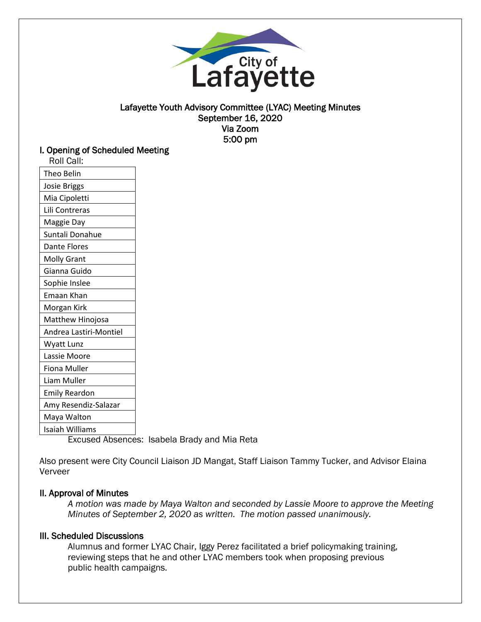

### Lafayette Youth Advisory Committee (LYAC) Meeting Minutes September 16, 2020 Via Zoom 5:00 pm

### I. Opening of Scheduled Meeting

| Roll Call:                            |  |
|---------------------------------------|--|
| Theo Belin                            |  |
| <b>Josie Briggs</b>                   |  |
| Mia Cipoletti                         |  |
| Lili Contreras                        |  |
| Maggie Day                            |  |
| Suntali Donahue                       |  |
| Dante Flores                          |  |
| <b>Molly Grant</b>                    |  |
| Gianna Guido                          |  |
| Sophie Inslee                         |  |
| Emaan Khan                            |  |
| Morgan Kirk                           |  |
| Matthew Hinojosa                      |  |
| Andrea Lastiri-Montiel                |  |
| Wyatt Lunz                            |  |
| Lassie Moore                          |  |
| Fiona Muller                          |  |
| Liam Muller                           |  |
| <b>Emily Reardon</b>                  |  |
| Amy Resendiz-Salazar                  |  |
| Maya Walton                           |  |
| Isaiah Williams<br>ı.<br>$\mathbf{A}$ |  |
|                                       |  |

Excused Absences: Isabela Brady and Mia Reta

Also present were City Council Liaison JD Mangat, Staff Liaison Tammy Tucker, and Advisor Elaina Verveer

# II. Approval of Minutes

*A motion was made by Maya Walton and seconded by Lassie Moore to approve the Meeting Minutes of September 2, 2020 as written. The motion passed unanimously.* 

# III. Scheduled Discussions

Alumnus and former LYAC Chair, Iggy Perez facilitated a brief policymaking training, reviewing steps that he and other LYAC members took when proposing previous public health campaigns.